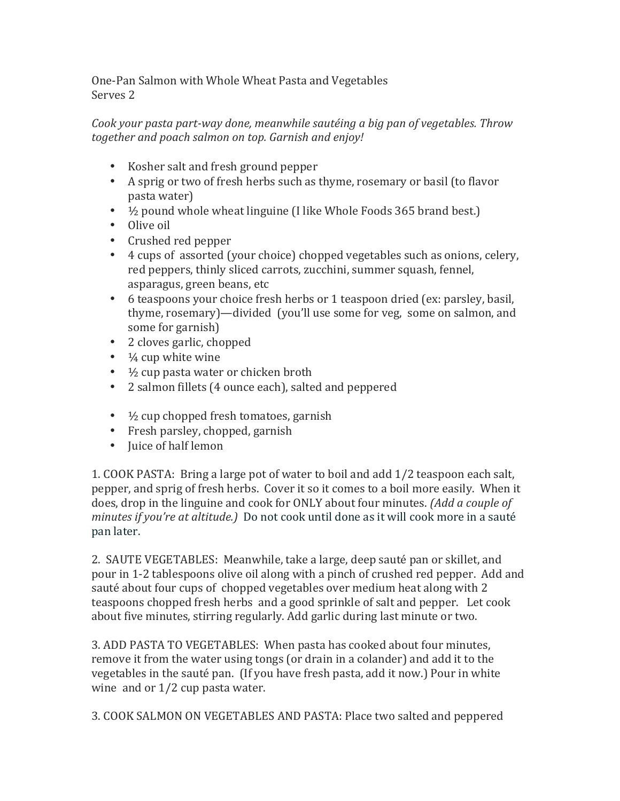One-Pan Salmon with Whole Wheat Pasta and Vegetables Serves<sub>2</sub>

*Cook your pasta part-way done, meanwhile sautéing a big pan of vegetables. Throw together and poach salmon on top. Garnish and enjoy!*

- Kosher salt and fresh ground pepper
- A sprig or two of fresh herbs such as thyme, rosemary or basil (to flavor pasta water)
- $\frac{1}{2}$  pound whole wheat linguine (I like Whole Foods 365 brand best.)
- Olive oil
- Crushed red pepper
- 4 cups of assorted (your choice) chopped vegetables such as onions, celery, red peppers, thinly sliced carrots, zucchini, summer squash, fennel, asparagus, green beans, etc
- 6 teaspoons your choice fresh herbs or 1 teaspoon dried (ex: parsley, basil, thyme, rosemary)—divided (you'll use some for veg, some on salmon, and some for garnish)
- 2 cloves garlic, chopped
- $\frac{1}{4}$  cup white wine
- $\frac{1}{2}$  cup pasta water or chicken broth
- 2 salmon fillets (4 ounce each), salted and peppered
- $\frac{1}{2}$  cup chopped fresh tomatoes, garnish
- Fresh parsley, chopped, garnish
- Juice of half lemon

1. COOK PASTA: Bring a large pot of water to boil and add 1/2 teaspoon each salt, pepper, and sprig of fresh herbs. Cover it so it comes to a boil more easily. When it does, drop in the linguine and cook for ONLY about four minutes. *(Add a couple of minutes if you're at altitude.*) Do not cook until done as it will cook more in a sauté pan later.

2. SAUTE VEGETABLES: Meanwhile, take a large, deep sauté pan or skillet, and pour in 1-2 tablespoons olive oil along with a pinch of crushed red pepper. Add and sauté about four cups of chopped vegetables over medium heat along with 2 teaspoons chopped fresh herbs and a good sprinkle of salt and pepper. Let cook about five minutes, stirring regularly. Add garlic during last minute or two.

3. ADD PASTA TO VEGETABLES: When pasta has cooked about four minutes, remove it from the water using tongs (or drain in a colander) and add it to the vegetables in the sauté pan. (If you have fresh pasta, add it now.) Pour in white wine and or  $1/2$  cup pasta water.

3. COOK SALMON ON VEGETABLES AND PASTA: Place two salted and peppered